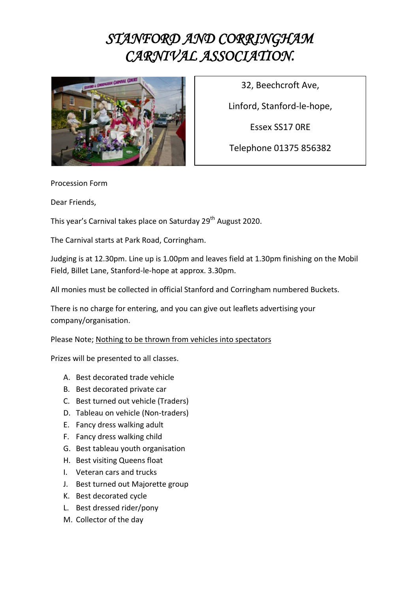## *STANFORD AND CORRINGHAM CARNIVAL ASSOCIATION.*



32, Beechcroft Ave,

Linford, Stanford-le-hope,

Essex SS17 0RE

Telephone 01375 856382

Procession Form

Dear Friends,

This year's Carnival takes place on Saturday 29<sup>th</sup> August 2020.

The Carnival starts at Park Road, Corringham.

Judging is at 12.30pm. Line up is 1.00pm and leaves field at 1.30pm finishing on the Mobil Field, Billet Lane, Stanford-le-hope at approx. 3.30pm.

All monies must be collected in official Stanford and Corringham numbered Buckets.

There is no charge for entering, and you can give out leaflets advertising your company/organisation.

Please Note; Nothing to be thrown from vehicles into spectators

Prizes will be presented to all classes.

- A. Best decorated trade vehicle
- B. Best decorated private car
- C. Best turned out vehicle (Traders)
- D. Tableau on vehicle (Non-traders)
- E. Fancy dress walking adult
- F. Fancy dress walking child
- G. Best tableau youth organisation
- H. Best visiting Queens float
- I. Veteran cars and trucks
- J. Best turned out Majorette group
- K. Best decorated cycle
- L. Best dressed rider/pony
- M. Collector of the day